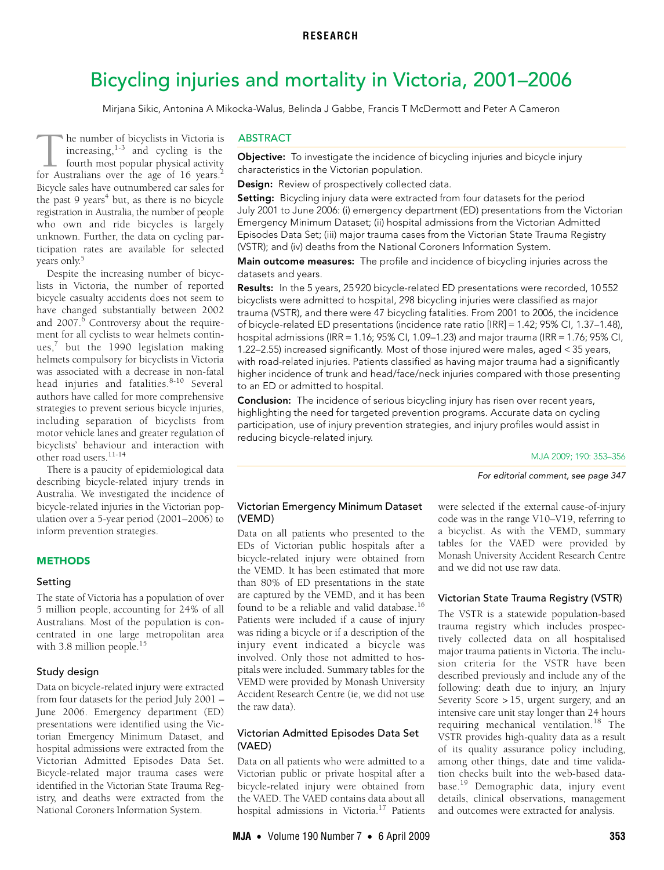# <span id="page-0-0"></span>Bicycling injuries and mortality in Victoria, 2001–2006

Mirjana Sikic, Antonina A Mikocka-Walus, Belinda J Gabbe, Francis T McDermott and Peter A Cameron

ticipation rates are available for selected  $0.011y.$ he number of bicyclists in Victoria is increasing, $1-3$  $1-3$  $1-3$  and cycling is the fourth most popular physical activity The number of bicyclists in Victoria is<br>increasing,<sup>1-3</sup> and cycling is the<br>fourth most popular physical activity<br>for Australians over the age of 16 years.<sup>[2](#page-3-2)</sup> Bicycle sales have outnumbered car sales for the past 9 years<sup>4</sup> but, as there is no bicycle registration in Australia, the number of people who own and ride bicycles is largely unknown. Further, the data on cycling paryears only.<sup>5</sup>

Despite the increasing number of bicyclists in Victoria, the number of reported bicycle casualty accidents does not seem to have changed substantially between 2002 and 2007.<sup>[6](#page-3-5)</sup> Controversy about the requirement for all cyclists to wear helmets continues, $7$  but the 1990 legislation making helmets compulsory for bicyclists in Victoria was associated with a decrease in non-fatal head injuries and fatalities.<sup>[8-](#page-3-7)[10](#page-3-8)</sup> Several authors have called for more comprehensive strategies to prevent serious bicycle injuries, including separation of bicyclists from motor vehicle lanes and greater regulation of bicyclists' behaviour and interaction with other road users. [11-](#page-3-9)[14](#page-3-10)

There is a paucity of epidemiological data describing bicycle-related injury trends in Australia. We investigated the incidence of bicycle-related injuries in the Victorian population over a 5-year period (2001–2006) to inform prevention strategies.

# **METHODS**

#### Setting

The state of Victoria has a population of over 5 million people, accounting for 24% of all Australians. Most of the population is concentrated in one large metropolitan area with 3.8 million people.<sup>[15](#page-3-11)</sup>

#### Study design

Data on bicycle-related injury were extracted from four datasets for the period July 2001 – June 2006. Emergency department (ED) presentations were identified using the Victorian Emergency Minimum Dataset, and hospital admissions were extracted from the Victorian Admitted Episodes Data Set. Bicycle-related major trauma cases were identified in the Victorian State Trauma Registry, and deaths were extracted from the National Coroners Information System.

# ABSTRACT

**Objective:** To investigate the incidence of bicycling injuries and bicycle injury characteristics in the Victorian population.

Design: Review of prospectively collected data.

Setting: Bicycling injury data were extracted from four datasets for the period July 2001 to June 2006: (i) emergency department (ED) presentations from the Victorian Emergency Minimum Dataset; (ii) hospital admissions from the Victorian Admitted Episodes Data Set; (iii) major trauma cases from the Victorian State Trauma Registry (VSTR); and (iv) deaths from the National Coroners Information System.

Main outcome measures: The profile and incidence of bicycling injuries across the datasets and years.

Results: In the 5 years, 25920 bicycle-related ED presentations were recorded, 10552 bicyclists were admitted to hospital, 298 bicycling injuries were classified as major trauma (VSTR), and there were 47 bicycling fatalities. From 2001 to 2006, the incidence of bicycle-related ED presentations (incidence rate ratio [IRR] = 1.42; 95% CI, 1.37–1.48), hospital admissions (IRR = 1.16; 95% CI, 1.09–1.23) and major trauma (IRR = 1.76; 95% CI, 1.22–2.55) increased significantly. Most of those injured were males, aged < 35 years, with road-related injuries. Patients classified as having major trauma had a significantly higher incidence of trunk and head/face/neck injuries compared with those presenting to an ED or admitted to hospital.

Conclusion: The incidence of serious bicycling injury has risen over recent years, highlighting the need for targeted prevention programs. Accurate data on cycling participation, use of injury prevention strategies, and injury profiles would assist in reducing bicycle-related injury.

MJA 2009; 190: 353–356

For editorial comment, see page 347

#### Victorian Emergency Minimum Dataset (VEMD)

Data on all patients who presented to the EDs of Victorian public hospitals after a bicycle-related injury were obtained from the VEMD. It has been estimated that more than 80% of ED presentations in the state are captured by the VEMD, and it has been found to be a reliable and valid database.[16](#page-3-16) Patients were included if a cause of injury was riding a bicycle or if a description of the injury event indicated a bicycle was involved. Only those not admitted to hospitals were included. Summary tables for the VEMD were provided by Monash University Accident Research Centre (ie, we did not use the raw data).

# Victorian Admitted Episodes Data Set (VAED)

Data on all patients who were admitted to a Victorian public or private hospital after a bicycle-related injury were obtained from the VAED. The VAED contains data about all hospital admissions in Victoria[.17](#page-3-12) Patients were selected if the external cause-of-injury code was in the range V10–V19, referring to a bicyclist. As with the VEMD, summary tables for the VAED were provided by Monash University Accident Research Centre and we did not use raw data.

# Victorian State Trauma Registry (VSTR)

The VSTR is a statewide population-based trauma registry which includes prospectively collected data on all hospitalised major trauma patients in Victoria. The inclusion criteria for the VSTR have been described previously and include any of the following: death due to injury, an Injury Severity Score > 15, urgent surgery, and an intensive care unit stay longer than 24 hours requiring mechanical ventilation.<sup>[18](#page-3-13)</sup> The VSTR provides high-quality data as a result of its quality assurance policy including, among other things, date and time validation checks built into the web-based database.[19](#page-3-14) Demographic data, injury event details, clinical observations, management and outcomes were extracted for analysis.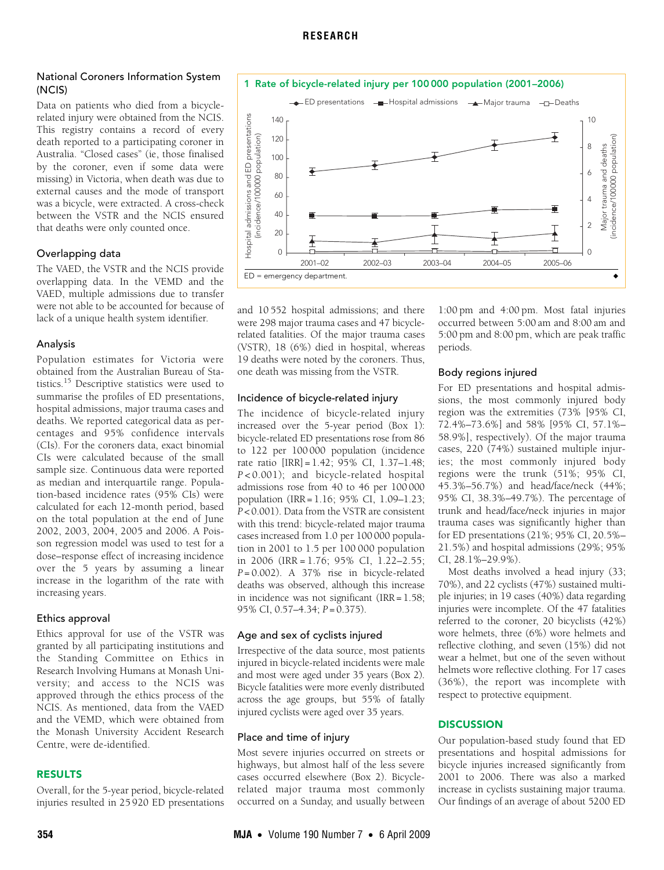# National Coroners Information System (NCIS)

Data on patients who died from a bicyclerelated injury were obtained from the NCIS. This registry contains a record of every death reported to a participating coroner in Australia. "Closed cases" (ie, those finalised by the coroner, even if some data were missing) in Victoria, when death was due to external causes and the mode of transport was a bicycle, were extracted. A cross-check between the VSTR and the NCIS ensured that deaths were only counted once.

#### Overlapping data

The VAED, the VSTR and the NCIS provide overlapping data. In the VEMD and the VAED, multiple admissions due to transfer were not able to be accounted for because of lack of a unique health system identifier.

#### Analysis

Population estimates for Victoria were obtained from the Australian Bureau of Statistics.[15](#page-3-11) Descriptive statistics were used to summarise the profiles of ED presentations, hospital admissions, major trauma cases and deaths. We reported categorical data as percentages and 95% confidence intervals (CIs). For the coroners data, exact binomial CIs were calculated because of the small sample size. Continuous data were reported as median and interquartile range. Population-based incidence rates (95% CIs) were calculated for each 12-month period, based on the total population at the end of June 2002, 2003, 2004, 2005 and 2006. A Poisson regression model was used to test for a dose–response effect of increasing incidence over the 5 years by assuming a linear increase in the logarithm of the rate with increasing years.

### Ethics approval

Ethics approval for use of the VSTR was granted by all participating institutions and the Standing Committee on Ethics in Research Involving Humans at Monash University; and access to the NCIS was approved through the ethics process of the NCIS. As mentioned, data from the VAED and the VEMD, which were obtained from the Monash University Accident Research Centre, were de-identified.

#### RESULTS

Overall, for the 5-year period, bicycle-related injuries resulted in 25 920 ED presentations

<span id="page-1-0"></span>

and 10 552 hospital admissions; and there were 298 major trauma cases and 47 bicyclerelated fatalities. Of the major trauma cases (VSTR), 18 (6%) died in hospital, whereas 19 deaths were noted by the coroners. Thus, one death was missing from the VSTR.

#### Incidence of bicycle-related injury

The incidence of bicycle-related injury increased over the 5-year period [\(Box 1\)](#page-1-0): bicycle-related ED presentations rose from 86 to 122 per 100 000 population (incidence rate ratio [IRR]= 1.42; 95% CI, 1.37–1.48; *P* < 0.001); and bicycle-related hospital admissions rose from 40 to 46 per 100 000 population (IRR = 1.16; 95% CI, 1.09–1.23; *P* < 0.001). Data from the VSTR are consistent with this trend: bicycle-related major trauma cases increased from 1.0 per 100 000 population in 2001 to 1.5 per 100 000 population in 2006 (IRR = 1.76; 95% CI, 1.22–2.55; *P* = 0.002). A 37% rise in bicycle-related deaths was observed, although this increase in incidence was not significant (IRR = 1.58; 95% CI, 0.57–4.34; *P* = 0.375).

#### Age and sex of cyclists injured

Irrespective of the data source, most patients injured in bicycle-related incidents were male and most were aged under 35 years ([Box 2\)](#page-2-0). Bicycle fatalities were more evenly distributed across the age groups, but 55% of fatally injured cyclists were aged over 35 years.

#### Place and time of injury

Most severe injuries occurred on streets or highways, but almost half of the less severe cases occurred elsewhere [\(Box 2\)](#page-2-0). Bicyclerelated major trauma most commonly occurred on a Sunday, and usually between

1:00 pm and 4:00 pm. Most fatal injuries occurred between 5:00 am and 8:00 am and 5:00 pm and 8:00 pm, which are peak traffic periods.

#### Body regions injured

For ED presentations and hospital admissions, the most commonly injured body region was the extremities (73% [95% CI, 72.4%–73.6%] and 58% [95% CI, 57.1%– 58.9%], respectively). Of the major trauma cases, 220 (74%) sustained multiple injuries; the most commonly injured body regions were the trunk (51%; 95% CI, 45.3%–56.7%) and head/face/neck (44%; 95% CI, 38.3%–49.7%). The percentage of trunk and head/face/neck injuries in major trauma cases was significantly higher than for ED presentations (21%; 95% CI, 20.5%– 21.5%) and hospital admissions (29%; 95% CI, 28.1%–29.9%).

Most deaths involved a head injury (33; 70%), and 22 cyclists (47%) sustained multiple injuries; in 19 cases (40%) data regarding injuries were incomplete. Of the 47 fatalities referred to the coroner, 20 bicyclists (42%) wore helmets, three (6%) wore helmets and reflective clothing, and seven (15%) did not wear a helmet, but one of the seven without helmets wore reflective clothing. For 17 cases (36%), the report was incomplete with respect to protective equipment.

# **DISCUSSION**

Our population-based study found that ED presentations and hospital admissions for bicycle injuries increased significantly from 2001 to 2006. There was also a marked increase in cyclists sustaining major trauma. Our findings of an average of about 5200 ED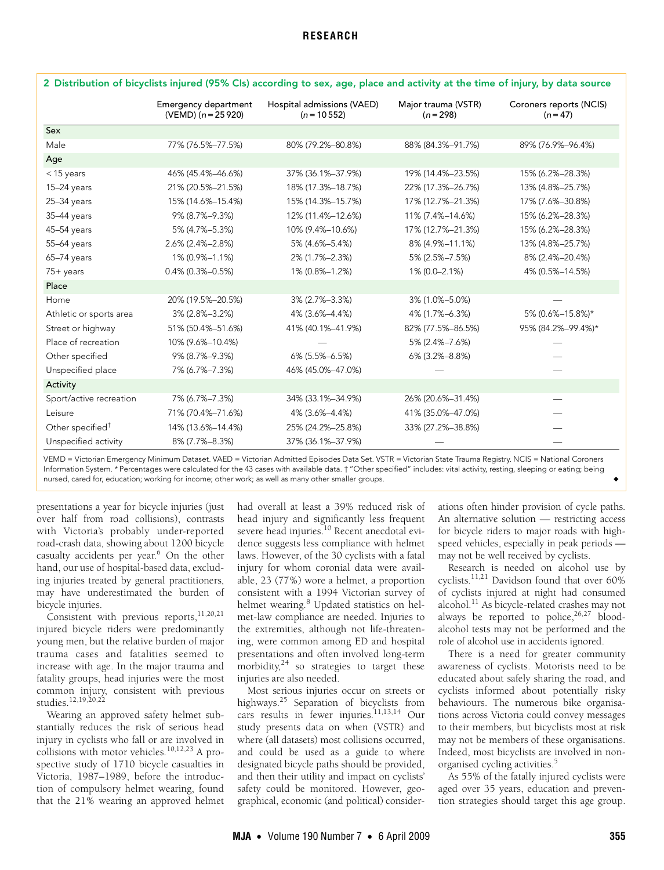<span id="page-2-0"></span>

|                              | Emergency department<br>$(VEMD)$ (n = 25 920) | Hospital admissions (VAED)<br>$(n = 10552)$ | Major trauma (VSTR)<br>$(n = 298)$ | Coroners reports (NCIS)<br>$(n = 47)$ |
|------------------------------|-----------------------------------------------|---------------------------------------------|------------------------------------|---------------------------------------|
| Sex                          |                                               |                                             |                                    |                                       |
| Male                         | 77% (76.5%-77.5%)                             | 80% (79.2%-80.8%)                           | 88% (84.3%-91.7%)                  | 89% (76.9%-96.4%)                     |
| Age                          |                                               |                                             |                                    |                                       |
| $<$ 15 years                 | 46% (45.4%-46.6%)                             | 37% (36.1%-37.9%)                           | 19% (14.4%-23.5%)                  | 15% (6.2%-28.3%)                      |
| $15-24$ years                | 21% (20.5%-21.5%)                             | 18% (17.3%-18.7%)                           | 22% (17.3%-26.7%)                  | 13% (4.8%-25.7%)                      |
| 25-34 years                  | 15% (14.6%-15.4%)                             | 15% (14.3%-15.7%)                           | 17% (12.7%-21.3%)                  | 17% (7.6%-30.8%)                      |
| 35-44 years                  | 9% (8.7%-9.3%)                                | 12% (11.4%-12.6%)                           | 11% (7.4%-14.6%)                   | 15% (6.2%-28.3%)                      |
| $45-54$ years                | 5% (4.7%-5.3%)                                | 10% (9.4%-10.6%)                            | 17% (12.7%-21.3%)                  | 15% (6.2%-28.3%)                      |
| 55-64 years                  | 2.6% (2.4%-2.8%)                              | 5% (4.6%-5.4%)                              | 8% (4.9%-11.1%)                    | 13% (4.8%-25.7%)                      |
| 65-74 years                  | 1% (0.9%-1.1%)                                | 2% (1.7%-2.3%)                              | 5% (2.5%-7.5%)                     | 8% (2.4%-20.4%)                       |
| $75+$ years                  | $0.4\%$ (0.3%-0.5%)                           | 1% (0.8%-1.2%)                              | 1% (0.0-2.1%)                      | 4% (0.5%-14.5%)                       |
| Place                        |                                               |                                             |                                    |                                       |
| Home                         | 20% (19.5%-20.5%)                             | 3% (2.7%-3.3%)                              | 3% (1.0%-5.0%)                     |                                       |
| Athletic or sports area      | 3% (2.8%-3.2%)                                | 4% (3.6%-4.4%)                              | 4% (1.7%-6.3%)                     | 5% (0.6%-15.8%)*                      |
| Street or highway            | 51% (50.4%-51.6%)                             | 41% (40.1%-41.9%)                           | 82% (77.5%-86.5%)                  | 95% (84.2%-99.4%)*                    |
| Place of recreation          | 10% (9.6%-10.4%)                              |                                             | 5% (2.4%-7.6%)                     |                                       |
| Other specified              | 9% (8.7%-9.3%)                                | $6\%$ (5.5%-6.5%)                           | 6% (3.2%-8.8%)                     |                                       |
| Unspecified place            | 7% (6.7%-7.3%)                                | 46% (45.0%-47.0%)                           |                                    |                                       |
| Activity                     |                                               |                                             |                                    |                                       |
| Sport/active recreation      | 7% (6.7%-7.3%)                                | 34% (33.1%-34.9%)                           | 26% (20.6%-31.4%)                  |                                       |
| Leisure                      | 71% (70.4%-71.6%)                             | 4% (3.6%-4.4%)                              | 41% (35.0%-47.0%)                  |                                       |
| Other specified <sup>†</sup> | 14% (13.6%-14.4%)                             | 25% (24.2%-25.8%)                           | 33% (27.2%-38.8%)                  |                                       |
| Unspecified activity         | 8% (7.7%-8.3%)                                | 37% (36.1%-37.9%)                           |                                    |                                       |

VEMD = Victorian Emergency Minimum Dataset. VAED = Victorian Admitted Episodes Data Set. VSTR = Victorian State Trauma Registry. NCIS = National Coroners Information System. \* Percentages were calculated for the 43 cases with available data. † "Other specified" includes: vital activity, resting, sleeping or eating; being nursed, cared for, education; working for income; other work; as well as many other smaller groups.

presentations a year for bicycle injuries (just over half from road collisions), contrasts with Victoria's probably under-reported road-crash data, showing about 1200 bicycle casualty accidents per year.<sup>[6](#page-3-5)</sup> On the other hand, our use of hospital-based data, excluding injuries treated by general practitioners, may have underestimated the burden of bicycle injuries.

Consistent with previous reports, $^{11,20,21}$  $^{11,20,21}$  $^{11,20,21}$  $^{11,20,21}$  $^{11,20,21}$  $^{11,20,21}$ injured bicycle riders were predominantly young men, but the relative burden of major trauma cases and fatalities seemed to increase with age. In the major trauma and fatality groups, head injuries were the most common injury, consistent with previous studies.[12,](#page-3-19)[19,](#page-3-14)[20](#page-3-17),[22](#page-3-20)

Wearing an approved safety helmet substantially reduces the risk of serious head injury in cyclists who fall or are involved in collisions with motor vehicles.<sup>[10](#page-3-8),[12,](#page-3-19)23</sup> A prospective study of 1710 bicycle casualties in Victoria, 1987–1989, before the introduction of compulsory helmet wearing, found that the 21% wearing an approved helmet had overall at least a 39% reduced risk of head injury and significantly less frequent severe head injuries.<sup>10</sup> Recent anecdotal evidence suggests less compliance with helmet laws. However, of the 30 cyclists with a fatal injury for whom coronial data were available, 23 (77%) wore a helmet, a proportion consistent with a 1994 Victorian survey of helmet wearing.<sup>[8](#page-3-7)</sup> Updated statistics on helmet-law compliance are needed. Injuries to the extremities, although not life-threatening, were common among ED and hospital presentations and often involved long-term morbidity, $24$  so strategies to target these injuries are also needed.

Most serious injuries occur on streets or highways.[25](#page-3-15) Separation of bicyclists from cars results in fewer injuries.<sup>11,[13,](#page-3-23)[14](#page-3-10)</sup> Our study presents data on when (VSTR) and where (all datasets) most collisions occurred, and could be used as a guide to where designated bicycle paths should be provided, and then their utility and impact on cyclists' safety could be monitored. However, geographical, economic (and political) considerations often hinder provision of cycle paths. An alternative solution — restricting access for bicycle riders to major roads with highspeed vehicles, especially in peak periods may not be well received by cyclists.

Research is needed on alcohol use by cyclists[.11](#page-3-9),[21](#page-3-18) Davidson found that over 60% of cyclists injured at night had consumed alcohol.[11](#page-3-9) As bicycle-related crashes may not always be reported to police,  $26,27$  $26,27$  bloodalcohol tests may not be performed and the role of alcohol use in accidents ignored.

There is a need for greater community awareness of cyclists. Motorists need to be educated about safely sharing the road, and cyclists informed about potentially risky behaviours. The numerous bike organisations across Victoria could convey messages to their members, but bicyclists most at risk may not be members of these organisations. Indeed, most bicyclists are involved in nonorganised cycling activities.[5](#page-3-4)

As 55% of the fatally injured cyclists were aged over 35 years, education and prevention strategies should target this age group.